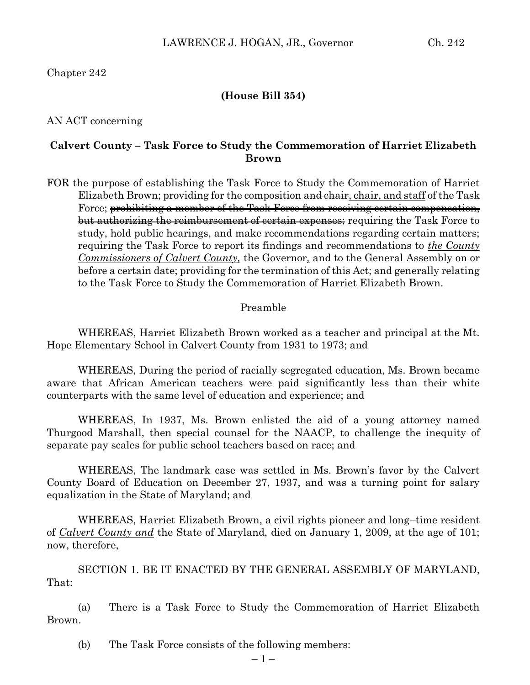## Chapter 242

### **(House Bill 354)**

AN ACT concerning

## **Calvert County – Task Force to Study the Commemoration of Harriet Elizabeth Brown**

FOR the purpose of establishing the Task Force to Study the Commemoration of Harriet Elizabeth Brown; providing for the composition and chair, chair, and staff of the Task Force; prohibiting a member of the Task Force from receiving certain compensation, but authorizing the reimbursement of certain expenses; requiring the Task Force to study, hold public hearings, and make recommendations regarding certain matters; requiring the Task Force to report its findings and recommendations to *the County Commissioners of Calvert County,* the Governor*,* and to the General Assembly on or before a certain date; providing for the termination of this Act; and generally relating to the Task Force to Study the Commemoration of Harriet Elizabeth Brown.

#### Preamble

WHEREAS, Harriet Elizabeth Brown worked as a teacher and principal at the Mt. Hope Elementary School in Calvert County from 1931 to 1973; and

WHEREAS, During the period of racially segregated education, Ms. Brown became aware that African American teachers were paid significantly less than their white counterparts with the same level of education and experience; and

WHEREAS, In 1937, Ms. Brown enlisted the aid of a young attorney named Thurgood Marshall, then special counsel for the NAACP, to challenge the inequity of separate pay scales for public school teachers based on race; and

WHEREAS, The landmark case was settled in Ms. Brown's favor by the Calvert County Board of Education on December 27, 1937, and was a turning point for salary equalization in the State of Maryland; and

WHEREAS, Harriet Elizabeth Brown, a civil rights pioneer and long–time resident of *Calvert County and* the State of Maryland, died on January 1, 2009, at the age of 101; now, therefore,

SECTION 1. BE IT ENACTED BY THE GENERAL ASSEMBLY OF MARYLAND, That:

(a) There is a Task Force to Study the Commemoration of Harriet Elizabeth Brown.

(b) The Task Force consists of the following members: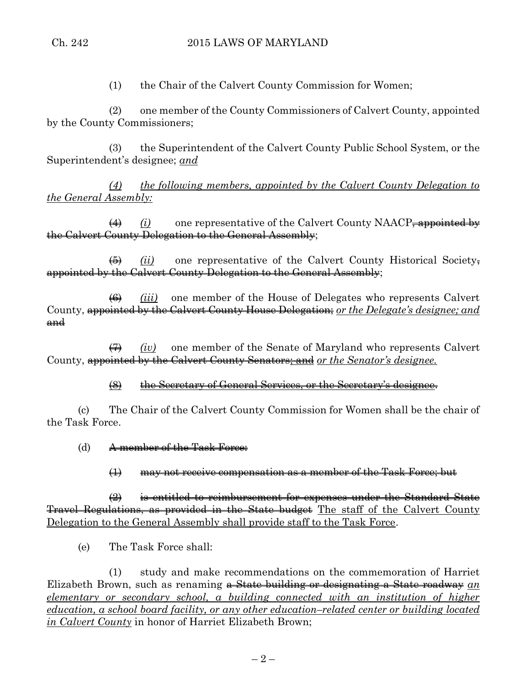(1) the Chair of the Calvert County Commission for Women;

(2) one member of the County Commissioners of Calvert County, appointed by the County Commissioners;

(3) the Superintendent of the Calvert County Public School System, or the Superintendent's designee; *and*

*(4) the following members, appointed by the Calvert County Delegation to the General Assembly:*

(4) *(i)* one representative of the Calvert County NAACP, appointed by the Calvert County Delegation to the General Assembly;

(5) *(ii)* one representative of the Calvert County Historical Society, appointed by the Calvert County Delegation to the General Assembly;

(6) *(iii)* one member of the House of Delegates who represents Calvert County, appointed by the Calvert County House Delegation; *or the Delegate's designee; and* and

(7) *(iv)* one member of the Senate of Maryland who represents Calvert County, appointed by the Calvert County Senators; and *or the Senator's designee.*

(8) the Secretary of General Services, or the Secretary's designee.

(c) The Chair of the Calvert County Commission for Women shall be the chair of the Task Force.

(d) A member of the Task Force:

(1) may not receive compensation as a member of the Task Force; but

 $\frac{1}{2}$  is entitled to reimbursement for expenses under the Standard State Travel Regulations, as provided in the State budget The staff of the Calvert County Delegation to the General Assembly shall provide staff to the Task Force.

(e) The Task Force shall:

(1) study and make recommendations on the commemoration of Harriet Elizabeth Brown, such as renaming a State building or designating a State roadway *an elementary or secondary school, a building connected with an institution of higher education, a school board facility, or any other education–related center or building located in Calvert County* in honor of Harriet Elizabeth Brown;